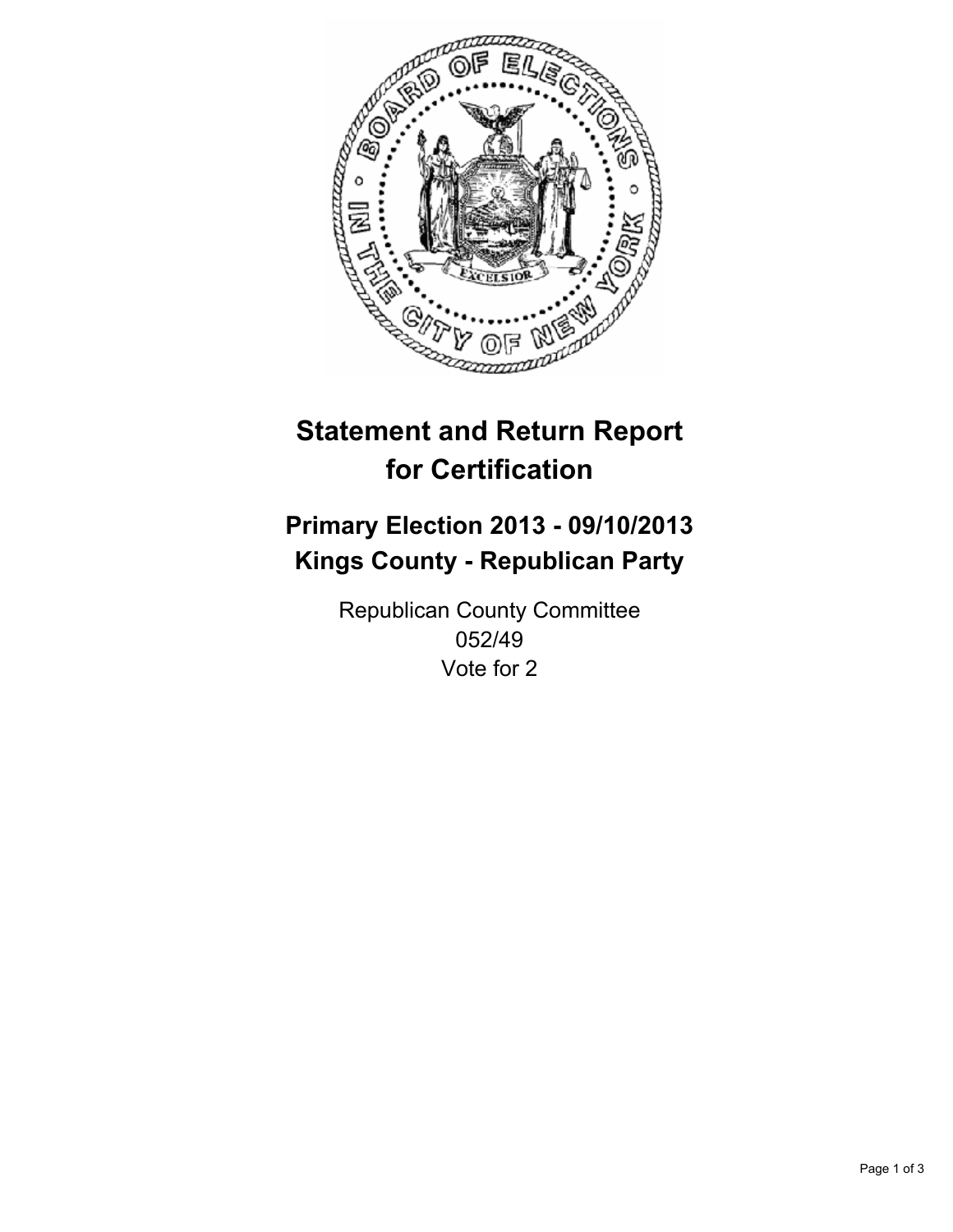

# **Statement and Return Report for Certification**

## **Primary Election 2013 - 09/10/2013 Kings County - Republican Party**

Republican County Committee 052/49 Vote for 2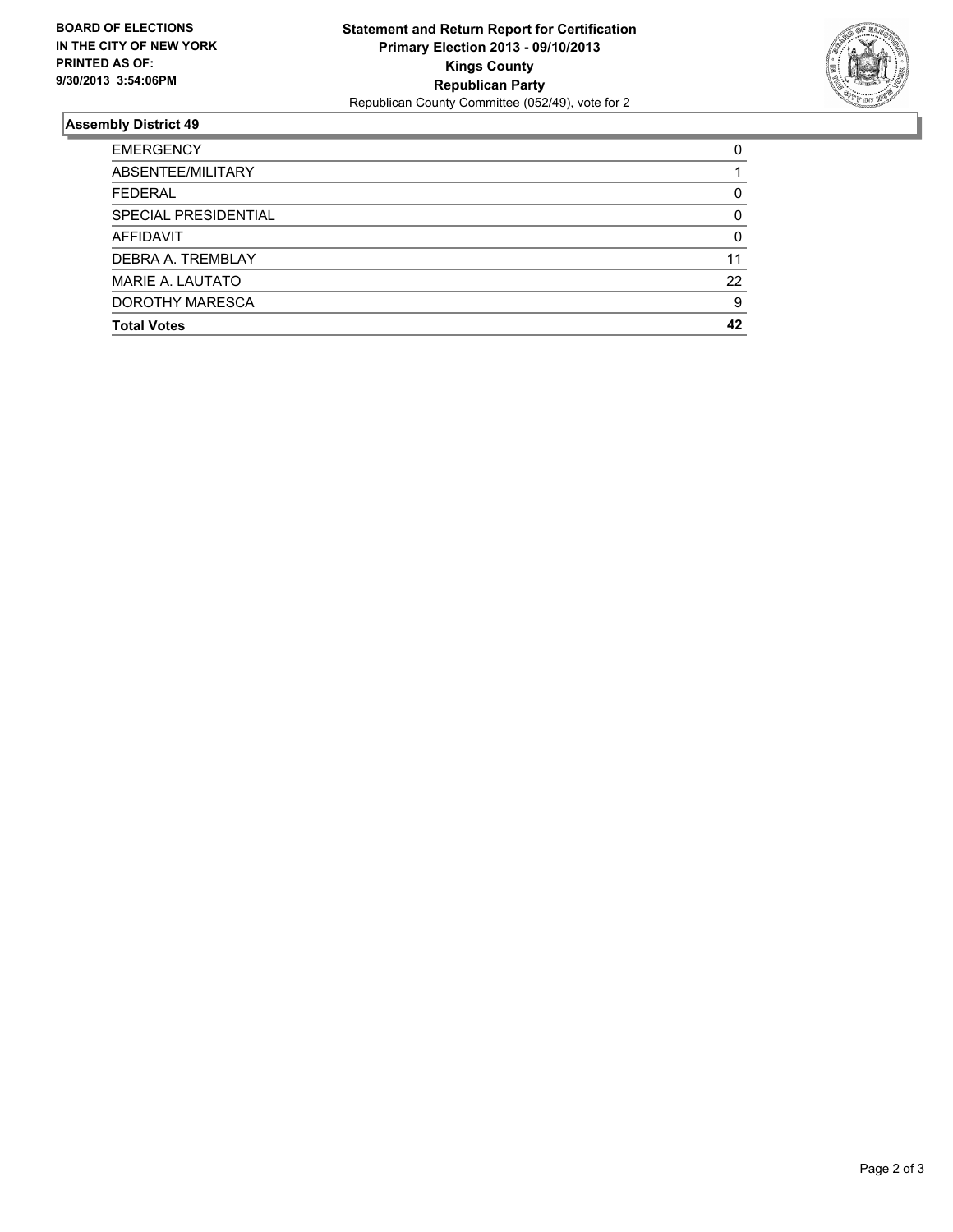

#### **Assembly District 49**

| <b>EMERGENCY</b>        | 0  |
|-------------------------|----|
| ABSENTEE/MILITARY       |    |
| <b>FEDERAL</b>          | 0  |
| SPECIAL PRESIDENTIAL    | 0  |
| <b>AFFIDAVIT</b>        | 0  |
| DEBRA A. TREMBLAY       | 11 |
| <b>MARIE A. LAUTATO</b> | 22 |
| DOROTHY MARESCA         | 9  |
| <b>Total Votes</b>      | 42 |